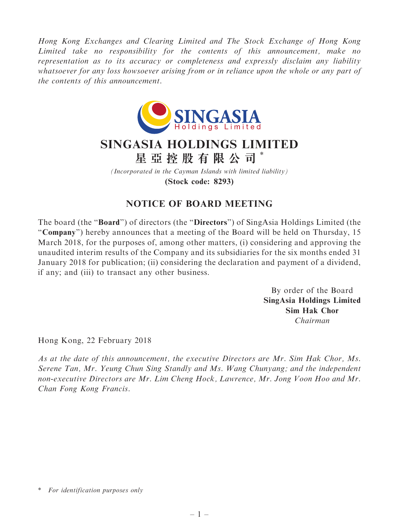Hong Kong Exchanges and Clearing Limited and The Stock Exchange of Hong Kong Limited take no responsibility for the contents of this announcement, make no representation as to its accuracy or completeness and expressly disclaim any liability whatsoever for any loss howsoever arising from or in reliance upon the whole or any part of the contents of this announcement.



## SINGASIA HOLDINGS LIMITED 星 亞 控 股 有 限 公 司 \*

(Incorporated in the Cayman Islands with limited liability) (Stock code: 8293)

## NOTICE OF BOARD MEETING

The board (the "Board") of directors (the "Directors") of SingAsia Holdings Limited (the "Company") hereby announces that a meeting of the Board will be held on Thursday, 15 March 2018, for the purposes of, among other matters, (i) considering and approving the unaudited interim results of the Company and its subsidiaries for the six months ended 31 January 2018 for publication; (ii) considering the declaration and payment of a dividend, if any; and (iii) to transact any other business.

> By order of the Board SingAsia Holdings Limited Sim Hak Chor Chairman

Hong Kong, 22 February 2018

As at the date of this announcement, the executive Directors are Mr. Sim Hak Chor, Ms. Serene Tan, Mr. Yeung Chun Sing Standly and Ms. Wang Chunyang; and the independent non-executive Directors are Mr. Lim Cheng Hock, Lawrence, Mr. Jong Voon Hoo and Mr. Chan Fong Kong Francis.

<sup>\*</sup> For identification purposes only